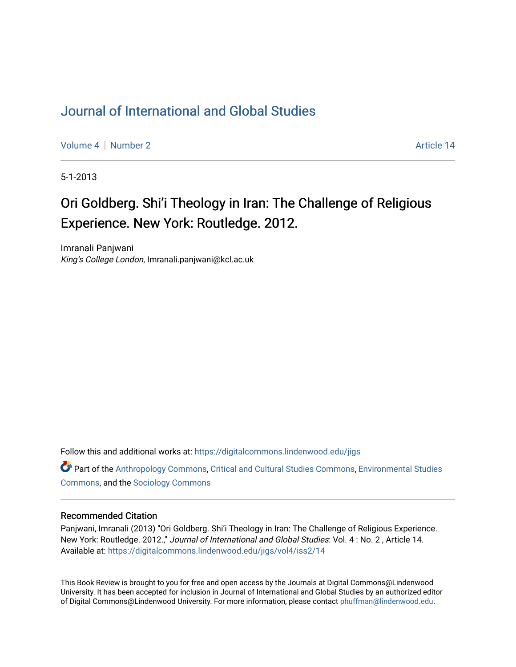## [Journal of International and Global Studies](https://digitalcommons.lindenwood.edu/jigs)

[Volume 4](https://digitalcommons.lindenwood.edu/jigs/vol4) | [Number 2](https://digitalcommons.lindenwood.edu/jigs/vol4/iss2) Article 14

5-1-2013

## Ori Goldberg. Shi'i Theology in Iran: The Challenge of Religious Experience. New York: Routledge. 2012.

Imranali Panjwani King's College London, Imranali.panjwani@kcl.ac.uk

Follow this and additional works at: [https://digitalcommons.lindenwood.edu/jigs](https://digitalcommons.lindenwood.edu/jigs?utm_source=digitalcommons.lindenwood.edu%2Fjigs%2Fvol4%2Fiss2%2F14&utm_medium=PDF&utm_campaign=PDFCoverPages) 

**C** Part of the [Anthropology Commons](http://network.bepress.com/hgg/discipline/318?utm_source=digitalcommons.lindenwood.edu%2Fjigs%2Fvol4%2Fiss2%2F14&utm_medium=PDF&utm_campaign=PDFCoverPages), [Critical and Cultural Studies Commons](http://network.bepress.com/hgg/discipline/328?utm_source=digitalcommons.lindenwood.edu%2Fjigs%2Fvol4%2Fiss2%2F14&utm_medium=PDF&utm_campaign=PDFCoverPages), Environmental Studies [Commons](http://network.bepress.com/hgg/discipline/1333?utm_source=digitalcommons.lindenwood.edu%2Fjigs%2Fvol4%2Fiss2%2F14&utm_medium=PDF&utm_campaign=PDFCoverPages), and the [Sociology Commons](http://network.bepress.com/hgg/discipline/416?utm_source=digitalcommons.lindenwood.edu%2Fjigs%2Fvol4%2Fiss2%2F14&utm_medium=PDF&utm_campaign=PDFCoverPages)

## Recommended Citation

Panjwani, Imranali (2013) "Ori Goldberg. Shi'i Theology in Iran: The Challenge of Religious Experience. New York: Routledge. 2012.," Journal of International and Global Studies: Vol. 4 : No. 2 , Article 14. Available at: [https://digitalcommons.lindenwood.edu/jigs/vol4/iss2/14](https://digitalcommons.lindenwood.edu/jigs/vol4/iss2/14?utm_source=digitalcommons.lindenwood.edu%2Fjigs%2Fvol4%2Fiss2%2F14&utm_medium=PDF&utm_campaign=PDFCoverPages) 

This Book Review is brought to you for free and open access by the Journals at Digital Commons@Lindenwood University. It has been accepted for inclusion in Journal of International and Global Studies by an authorized editor of Digital Commons@Lindenwood University. For more information, please contact [phuffman@lindenwood.edu](mailto:phuffman@lindenwood.edu).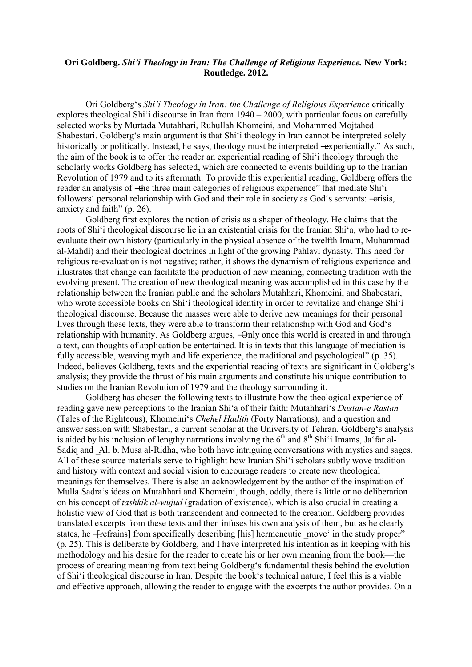## **Ori Goldberg.** *Shi'i Theology in Iran: The Challenge of Religious Experience.* **New York: Routledge. 2012.**

Ori Goldberg's *Shi'i Theology in Iran: the Challenge of Religious Experience* critically explores theological Shi'i discourse in Iran from 1940 – 2000, with particular focus on carefully selected works by Murtada Mutahhari, Ruhullah Khomeini, and Mohammed Mojtahed Shabestari. Goldberg's main argument is that Shi'i theology in Iran cannot be interpreted solely historically or politically. Instead, he says, theology must be interpreted —experientially." As such, the aim of the book is to offer the reader an experiential reading of Shi'i theology through the scholarly works Goldberg has selected, which are connected to events building up to the Iranian Revolution of 1979 and to its aftermath. To provide this experiential reading, Goldberg offers the reader an analysis of –the three main categories of religious experience" that mediate Shi'i followers' personal relationship with God and their role in society as God's servants: -erisis, anxiety and faith"  $(p. 26)$ .

Goldberg first explores the notion of crisis as a shaper of theology. He claims that the roots of Shi'i theological discourse lie in an existential crisis for the Iranian Shi'a, who had to reevaluate their own history (particularly in the physical absence of the twelfth Imam, Muhammad al-Mahdi) and their theological doctrines in light of the growing Pahlavi dynasty. This need for religious re-evaluation is not negative; rather, it shows the dynamism of religious experience and illustrates that change can facilitate the production of new meaning, connecting tradition with the evolving present. The creation of new theological meaning was accomplished in this case by the relationship between the Iranian public and the scholars Mutahhari, Khomeini, and Shabestari, who wrote accessible books on Shi'i theological identity in order to revitalize and change Shi'i theological discourse. Because the masses were able to derive new meanings for their personal lives through these texts, they were able to transform their relationship with God and God's relationship with humanity. As Goldberg argues, —Only once this world is created in and through a text, can thoughts of application be entertained. It is in texts that this language of mediation is fully accessible, weaving myth and life experience, the traditional and psychological" (p. 35). Indeed, believes Goldberg, texts and the experiential reading of texts are significant in Goldberg's analysis; they provide the thrust of his main arguments and constitute his unique contribution to studies on the Iranian Revolution of 1979 and the theology surrounding it.

Goldberg has chosen the following texts to illustrate how the theological experience of reading gave new perceptions to the Iranian Shi'a of their faith: Mutahhari's *Dastan-e Rastan*  (Tales of the Righteous), Khomeini's *Chehel Hadith* (Forty Narrations), and a question and answer session with Shabestari, a current scholar at the University of Tehran. Goldberg's analysis is aided by his inclusion of lengthy narrations involving the  $6<sup>th</sup>$  and  $8<sup>th</sup>$  Shi'i Imams, Ja'far al-Sadiq and Ali b. Musa al-Ridha, who both have intriguing conversations with mystics and sages. All of these source materials serve to highlight how Iranian Shi'i scholars subtly wove tradition and history with context and social vision to encourage readers to create new theological meanings for themselves. There is also an acknowledgement by the author of the inspiration of Mulla Sadra's ideas on Mutahhari and Khomeini, though, oddly, there is little or no deliberation on his concept of *tashkik al-wujud* (gradation of existence), which is also crucial in creating a holistic view of God that is both transcendent and connected to the creation. Goldberg provides translated excerpts from these texts and then infuses his own analysis of them, but as he clearly states, he –**[**refrains] from specifically describing [his] hermeneutic move in the study proper (p. 25). This is deliberate by Goldberg, and I have interpreted his intention as in keeping with his methodology and his desire for the reader to create his or her own meaning from the book—the process of creating meaning from text being Goldberg's fundamental thesis behind the evolution of Shi'i theological discourse in Iran. Despite the book's technical nature, I feel this is a viable and effective approach, allowing the reader to engage with the excerpts the author provides. On a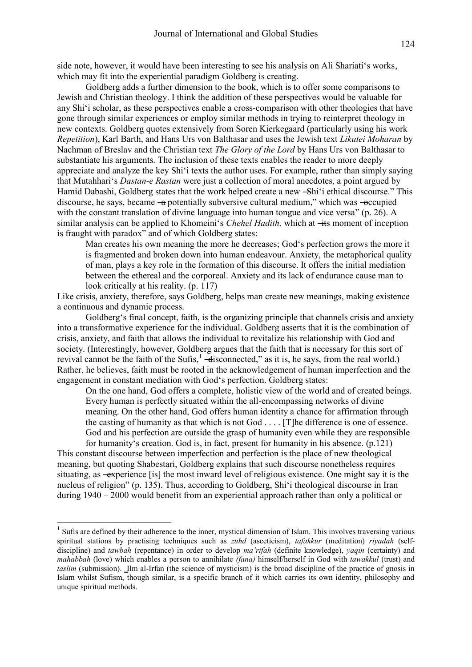side note, however, it would have been interesting to see his analysis on Ali Shariati's works, which may fit into the experiential paradigm Goldberg is creating.

Goldberg adds a further dimension to the book, which is to offer some comparisons to Jewish and Christian theology. I think the addition of these perspectives would be valuable for any Shi'i scholar, as these perspectives enable a cross-comparison with other theologies that have gone through similar experiences or employ similar methods in trying to reinterpret theology in new contexts. Goldberg quotes extensively from Soren Kierkegaard (particularly using his work *Repetition*), Karl Barth, and Hans Urs von Balthasar and uses the Jewish text *Likutei Moharan* by Nachman of Breslav and the Christian text *The Glory of the Lord* by Hans Urs von Balthasar to substantiate his arguments. The inclusion of these texts enables the reader to more deeply appreciate and analyze the key Shi'i texts the author uses. For example, rather than simply saying that Mutahhari's *Dastan-e Rastan* were just a collection of moral anecdotes, a point argued by Hamid Dabashi, Goldberg states that the work helped create a new -Shi'i ethical discourse." This discourse, he says, became —a potentially subversive cultural medium," which was — $\alpha$  excupied with the constant translation of divine language into human tongue and vice versa" (p. 26). A similar analysis can be applied to Khomeini's *Chehel Hadith*, which at —its moment of inception is fraught with paradox" and of which Goldberg states:

Man creates his own meaning the more he decreases; God's perfection grows the more it is fragmented and broken down into human endeavour. Anxiety, the metaphorical quality of man, plays a key role in the formation of this discourse. It offers the initial mediation between the ethereal and the corporeal. Anxiety and its lack of endurance cause man to look critically at his reality. (p. 117)

Like crisis, anxiety, therefore, says Goldberg, helps man create new meanings, making existence a continuous and dynamic process.

Goldberg's final concept, faith, is the organizing principle that channels crisis and anxiety into a transformative experience for the individual. Goldberg asserts that it is the combination of crisis, anxiety, and faith that allows the individual to revitalize his relationship with God and society. (Interestingly, however, Goldberg argues that the faith that is necessary for this sort of revival cannot be the faith of the Sufis, $\frac{1}{2}$  —disconnected," as it is, he says, from the real world.) Rather, he believes, faith must be rooted in the acknowledgement of human imperfection and the engagement in constant mediation with God's perfection. Goldberg states:

On the one hand, God offers a complete, holistic view of the world and of created beings. Every human is perfectly situated within the all-encompassing networks of divine meaning. On the other hand, God offers human identity a chance for affirmation through the casting of humanity as that which is not God . . . . [T]he difference is one of essence. God and his perfection are outside the grasp of humanity even while they are responsible for humanity's creation. God is, in fact, present for humanity in his absence. (p.121)

This constant discourse between imperfection and perfection is the place of new theological meaning, but quoting Shabestari, Goldberg explains that such discourse nonetheless requires situating, as —experience [is] the most inward level of religious existence. One might say it is the nucleus of religion" (p. 135). Thus, according to Goldberg, Shi'i theological discourse in Iran during 1940 – 2000 would benefit from an experiential approach rather than only a political or

1

<sup>&</sup>lt;sup>1</sup> Sufis are defined by their adherence to the inner, [mystical](http://en.wikipedia.org/wiki/Mystical) dimension of [Islam.](http://en.wikipedia.org/wiki/Islam) This involves traversing various spiritual stations by practising techniques such as *zuhd* (asceticism), *tafakkur* (meditation) *riyadah* (selfdiscipline) and *tawbah* (repentance) in order to develop *ma'rifah* (definite knowledge), *yaqin* (certainty) and *mahabbah* (love) which enables a person to annihilate *(fana)* himself/herself in God with *tawakkul* (trust) and *taslim* (submission). Ilm al-Irfan (the science of mysticism) is the broad discipline of the practice of gnosis in Islam whilst Sufism, though similar, is a specific branch of it which carries its own identity, philosophy and unique spiritual methods.